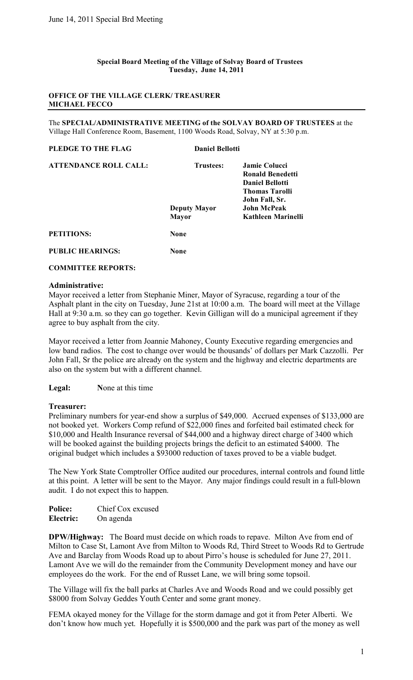#### **Special Board Meeting of the Village of Solvay Board of Trustees Tuesday, June 14, 2011**

### **OFFICE OF THE VILLAGE CLERK/ TREASURER MICHAEL FECCO**

The **SPECIAL/ADMINISTRATIVE MEETING of the SOLVAY BOARD OF TRUSTEES** at the Village Hall Conference Room, Basement, 1100 Woods Road, Solvay, NY at 5:30 p.m.

# **PLEDGE TO THE FLAG Daniel Bellotti ATTENDANCE ROLL CALL: Trustees: Jamie Colucci Ronald Benedetti Daniel Bellotti Thomas Tarolli John Fall, Sr. Deputy Mayor John McPeak Mayor Kathleen Marinelli PETITIONS: None**

**PUBLIC HEARINGS: None**

## **COMMITTEE REPORTS:**

### **Administrative:**

Mayor received a letter from Stephanie Miner, Mayor of Syracuse, regarding a tour of the Asphalt plant in the city on Tuesday, June 21st at 10:00 a.m. The board will meet at the Village Hall at 9:30 a.m. so they can go together. Kevin Gilligan will do a municipal agreement if they agree to buy asphalt from the city.

Mayor received a letter from Joannie Mahoney, County Executive regarding emergencies and low band radios. The cost to change over would be thousands' of dollars per Mark Cazzolli. Per John Fall, Sr the police are already on the system and the highway and electric departments are also on the system but with a different channel.

**Legal: N**one at this time

## **Treasurer:**

Preliminary numbers for year-end show a surplus of \$49,000. Accrued expenses of \$133,000 are not booked yet. Workers Comp refund of \$22,000 fines and forfeited bail estimated check for \$10,000 and Health Insurance reversal of \$44,000 and a highway direct charge of 3400 which will be booked against the building projects brings the deficit to an estimated \$4000. The original budget which includes a \$93000 reduction of taxes proved to be a viable budget.

The New York State Comptroller Office audited our procedures, internal controls and found little at this point. A letter will be sent to the Mayor. Any major findings could result in a full-blown audit. I do not expect this to happen.

| <b>Police:</b> | Chief Cox excused |
|----------------|-------------------|
| Electric:      | On agenda         |

**DPW/Highway:** The Board must decide on which roads to repave. Milton Ave from end of Milton to Case St, Lamont Ave from Milton to Woods Rd, Third Street to Woods Rd to Gertrude Ave and Barclay from Woods Road up to about Pirro's house is scheduled for June 27, 2011. Lamont Ave we will do the remainder from the Community Development money and have our employees do the work. For the end of Russet Lane, we will bring some topsoil.

The Village will fix the ball parks at Charles Ave and Woods Road and we could possibly get \$8000 from Solvay Geddes Youth Center and some grant money.

FEMA okayed money for the Village for the storm damage and got it from Peter Alberti. We don't know how much yet. Hopefully it is \$500,000 and the park was part of the money as well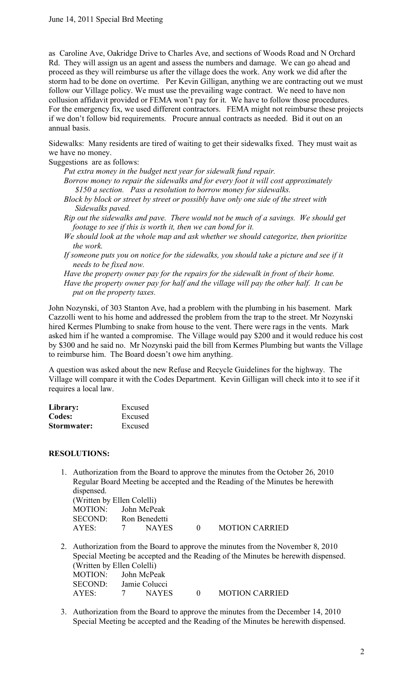as Caroline Ave, Oakridge Drive to Charles Ave, and sections of Woods Road and N Orchard Rd. They will assign us an agent and assess the numbers and damage. We can go ahead and proceed as they will reimburse us after the village does the work. Any work we did after the storm had to be done on overtime. Per Kevin Gilligan, anything we are contracting out we must follow our Village policy. We must use the prevailing wage contract. We need to have non collusion affidavit provided or FEMA won't pay for it. We have to follow those procedures. For the emergency fix, we used different contractors. FEMA might not reimburse these projects if we don't follow bid requirements. Procure annual contracts as needed. Bid it out on an annual basis.

Sidewalks: Many residents are tired of waiting to get their sidewalks fixed. They must wait as we have no money.

Suggestions are as follows:

- *Put extra money in the budget next year for sidewalk fund repair. Borrow money to repair the sidewalks and for every foot it will cost approximately \$150 a section. Pass a resolution to borrow money for sidewalks.*
- *Block by block or street by street or possibly have only one side of the street with Sidewalks paved.*
- *Rip out the sidewalks and pave. There would not be much of a savings. We should get footage to see if this is worth it, then we can bond for it.*
- *We should look at the whole map and ask whether we should categorize, then prioritize the work.*
- *If someone puts you on notice for the sidewalks, you should take a picture and see if it needs to be fixed now.*

*Have the property owner pay for the repairs for the sidewalk in front of their home. Have the property owner pay for half and the village will pay the other half. It can be put on the property taxes.*

John Nozynski, of 303 Stanton Ave, had a problem with the plumbing in his basement. Mark Cazzolli went to his home and addressed the problem from the trap to the street. Mr Nozynski hired Kermes Plumbing to snake from house to the vent. There were rags in the vents. Mark asked him if he wanted a compromise. The Village would pay \$200 and it would reduce his cost by \$300 and he said no. Mr Nozynski paid the bill from Kermes Plumbing but wants the Village to reimburse him. The Board doesn't owe him anything.

A question was asked about the new Refuse and Recycle Guidelines for the highway. The Village will compare it with the Codes Department. Kevin Gilligan will check into it to see if it requires a local law.

| Library:    | Excused |
|-------------|---------|
| Codes:      | Excused |
| Stormwater: | Excused |

## **RESOLUTIONS:**

1. Authorization from the Board to approve the minutes from the October 26, 2010 Regular Board Meeting be accepted and the Reading of the Minutes be herewith dispensed. (Written by Ellen Colelli)

| (WHILE DY ETER CORILI) |   |       |            |                       |
|------------------------|---|-------|------------|-----------------------|
| MOTION: John McPeak    |   |       |            |                       |
| SECOND: Ron Benedetti  |   |       |            |                       |
| AYES:                  | 7 | NAYES | $\bigcirc$ | <b>MOTION CARRIED</b> |

- 2. Authorization from the Board to approve the minutes from the November 8, 2010 Special Meeting be accepted and the Reading of the Minutes be herewith dispensed. (Written by Ellen Colelli) MOTION: John McPeak SECOND: Jamie Colucci AYES: 7 NAYES 0 MOTION CARRIED
- 3. Authorization from the Board to approve the minutes from the December 14, 2010 Special Meeting be accepted and the Reading of the Minutes be herewith dispensed.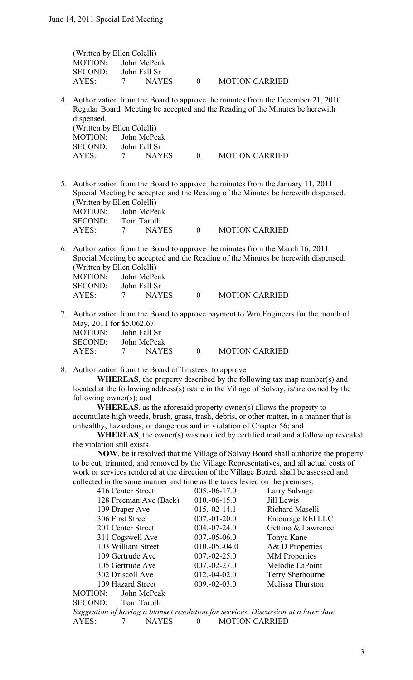| (Written by Ellen Colelli) |                |              |                                                 |                       |
|----------------------------|----------------|--------------|-------------------------------------------------|-----------------------|
| MOTION: John McPeak        |                |              |                                                 |                       |
| SECOND <sup>.</sup>        |                | John Fall Sr |                                                 |                       |
| AYES:                      | $\overline{7}$ | NAYES        | $\left( \begin{array}{c} 0 \end{array} \right)$ | <b>MOTION CARRIED</b> |

4. Authorization from the Board to approve the minutes from the December 21, 2010 Regular Board Meeting be accepted and the Reading of the Minutes be herewith dispensed. (Written by Ellen Colelli)

|  | $\mathbf{0}$                                                         | <b>MOTION CARRIED</b> |
|--|----------------------------------------------------------------------|-----------------------|
|  | $\sqrt{2}$<br>MOTION: John McPeak<br>SECOND: John Fall Sr<br>7 NAYES |                       |

5. Authorization from the Board to approve the minutes from the January 11, 2011 Special Meeting be accepted and the Reading of the Minutes be herewith dispensed. (Written by Ellen Colelli) MOTION: John McPeak<br>SECOND: Tom Tarolli

| <b>SECOND:</b> | Tom Tarolli  |                       |
|----------------|--------------|-----------------------|
| AYES:          | <b>NAYES</b> | <b>MOTION CARRIED</b> |

- 6. Authorization from the Board to approve the minutes from the March 16, 2011 Special Meeting be accepted and the Reading of the Minutes be herewith dispensed. (Written by Ellen Colelli) MOTION: John McPeak SECOND: John Fall Sr AYES: 7 NAYES 0 MOTION CARRIED
- 7. Authorization from the Board to approve payment to Wm Engineers for the month of May, 2011 for \$5,062.67. MOTION: John Fall Sr SECOND: John McPeak AYES: 7 NAYES 0 MOTION CARRIED
- 8. Authorization from the Board of Trustees to approve

**WHEREAS**, the property described by the following tax map number(s) and located at the following address(s) is/are in the Village of Solvay, is/are owned by the following owner(s); and

 **WHEREAS**, as the aforesaid property owner(s) allows the property to accumulate high weeds, brush, grass, trash, debris, or other matter, in a manner that is unhealthy, hazardous, or dangerous and in violation of Chapter 56; and

 **WHEREAS**, the owner(s) was notified by certified mail and a follow up revealed the violation still exists

 **NOW**, be it resolved that the Village of Solvay Board shall authorize the property to be cut, trimmed, and removed by the Village Representatives, and all actual costs of work or services rendered at the direction of the Village Board, shall be assessed and collected in the same manner and time as the taxes levied on the premises.

| 416 Center Street      | $005.-06-17.0$    | Larry Salvage        |
|------------------------|-------------------|----------------------|
| 128 Freeman Ave (Back) | $010.-06-15.0$    | Jill Lewis           |
| 109 Draper Ave         | $015.-02-14.1$    | Richard Maselli      |
| 306 First Street       | $007.-01-20.0$    | Entourage REI LLC    |
| 201 Center Street      | $004.-07-24.0$    | Gettino & Lawrence   |
| 311 Cogswell Ave       | $007.-05-06.0$    | Tonya Kane           |
| 103 William Street     | $010.-05.-04.0$   | A& D Properties      |
| 109 Gertrude Ave       | $007 - 02 - 25.0$ | <b>MM</b> Properties |
| 105 Gertrude Ave       | $007 - 02 - 27.0$ | Melodie LaPoint      |
| 302 Driscoll Ave       | $012.-04-02.0$    | Terry Sherbourne     |
| 109 Hazard Street      | $009.-02-03.0$    | Melissa Thurston     |
| John McPeak<br>MOTION: |                   |                      |

SECOND: Tom Tarolli

*Suggestion of having a blanket resolution for services. Discussion at a later date.* AYES: 7 NAYES 0 MOTION CARRIED